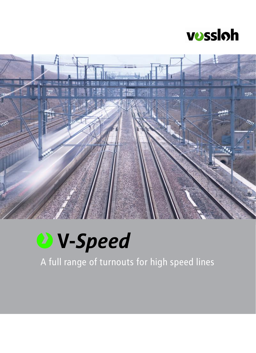



# **W-Speed**

A full range of turnouts for high speed lines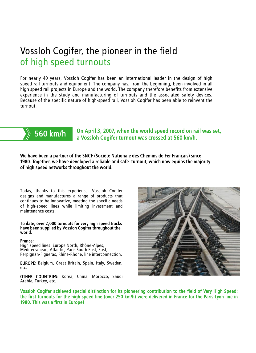## Vossloh Cogifer, the pioneer in the field of high speed turnouts

For nearly 40 years, Vossloh Cogifer has been an international leader in the design of high speed rail turnouts and equipment. The company has, from the beginning, been involved in all high speed rail projects in Europe and the world. The company therefore benefits from extensive experience in the study and manufacturing of turnouts and the associated safety devices. Because of the specific nature of high-speed rail, Vossloh Cogifer has been able to reinvent the turnout.



**All you KIII/II** a Vossloh Cogifer turnout was crossed at 560 km/h. On April 3, 2007, when the world speed record on rail was set,

We have been a partner of the SNCF (Société Nationale des Chemins de Fer Français) since 1980. Together, we have developed a reliable and safe turnout, which now equips the majority of high speed networks throughout the world.

Today, thanks to this experience, Vossloh Cogifer designs and manufactures a range of products that continues to be innovative, meeting the specific needs of high-speed lines while limiting investment and maintenance costs.

#### To date, over 2,000 turnouts for very high speed tracks have been supplied by Vossloh Cogifer throughout the world.

#### France:

High speed lines: Europe North, Rhône-Alpes, Mediterranean, Atlantic, Paris South East, East, Perpignan-Figueras, Rhine-Rhone, line interconnection.

EUROPE: Belgium, Great Britain, Spain, Italy, Sweden, etc.

OTHER COUNTRIES: Korea, China, Morocco, Saudi Arabia, Turkey, etc.



Vossloh Cogifer achieved special distinction for its pioneering contribution to the field of Very High Speed: the first turnouts for the high speed line (over 250 km/h) were delivered in France for the Paris-Lyon line in 1980. This was a first in Europe!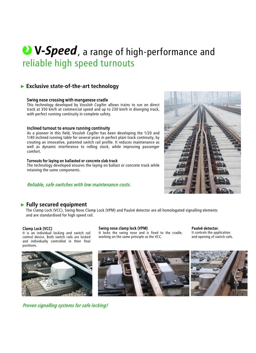## reliable high speed turnouts **V-Speed**, a range of high-performance and

### ► **Exclusive state-of-the-art technology**

#### Swing nose crossing with manganese cradle

This technology developed by Vossloh Cogifer allows trains to run on direct track at 350 km/h at commercial speed and up to 230 km/h in diverging track, with perfect running continuity in complete safety.

#### Inclined turnout to ensure running continuity

As a pioneer in this field, Vossloh Cogifer has been developing the 1/20 and 1/40 inclined running table for several years in perfect plain track continuity, by creating an innovative, patented switch rail profile. It reduces maintenance as well as dynamic interference to rolling stock, while improving passenger comfort.

#### Turnouts for laying on ballasted or concrete slab track

The technology developed ensures the laying on ballast or concrete track while retaining the same components.

#### Reliable, safe switches with low maintenance costs.



#### ► **Fully secured equipment**

The Clamp Lock (VCC), Swing Nose Clamp Lock (VPM) and Paulvé detector are all homologated signalling elements and are standardised for high speed rail.

#### Clamp Lock (VCC)

It is an individual locking and switch rail control device. Both switch rails are locked and individually controlled in their final positions.



Proven signalling systems for safe locking!

#### Swing nose clamp lock (VPM)

It locks the swing nose and is fixed to the cradle, working on the same principle as the VCC.

Paulvé detector, It controls the application and opening of switch rails.